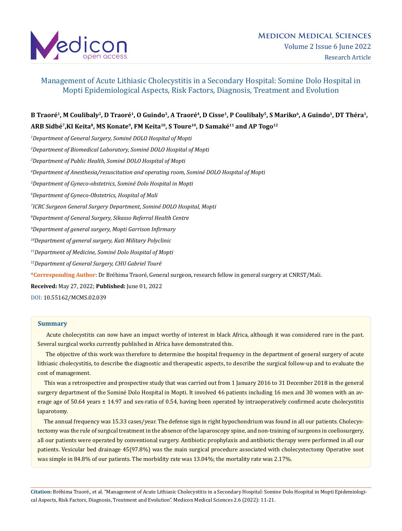

# B Traoré<sup>1</sup>, M Coulibaly<sup>2</sup>, D Traoré<sup>1</sup>, O Guindo<sup>3</sup>, A Traoré<sup>4</sup>, D Cisse<sup>1</sup>, P Coulibaly<sup>5</sup>, S Mariko<sup>6</sup>, A Guindo<sup>1</sup>, DT Théra<sup>1</sup>, **ARB Sidbé7,KI Keita8, MS Konate9, FM Keita10, S Toure10, D Samaké11 and AP Togo12**

 *Department of General Surgery, Sominé DOLO Hospital of Mopti Department of Biomedical Laboratory, Sominé DOLO Hospital of Mopti Department of Public Health, Sominé DOLO Hospital of Mopti Department of Anesthesia/resuscitation and operating room, Sominé DOLO Hospital of Mopti Department of Gyneco-obstetrics, Sominé Dolo Hospital in Mopti Department of Gyneco-Obstetrics, Hospital of Mali ICRC Surgeon General Surgery Department, Sominé DOLO Hospital, Mopti Department of General Surgery, Sikasso Referral Health Centre Department of general surgery, Mopti Garrison Infirmary 10Department of general surgery, Kati Military Polyclinic 11Department of Medicine, Sominé Dolo Hospital of Mopti 12Department of General Surgery, CHU Gabriel Touré* **\*Corresponding Author:** Dr Bréhima Traoré, General surgeon, research fellow in general surgery at CNRST/Mali.

**Received:** May 27, 2022; **Published:** June 01, 2022

[DOI: 10.55162/MCMS.02.039](https://doi.org/10.55162/MCMS.02.039)

### **Summary**

Acute cholecystitis can now have an impact worthy of interest in black Africa, although it was considered rare in the past. Several surgical works currently published in Africa have demonstrated this.

 The objective of this work was therefore to determine the hospital frequency in the department of general surgery of acute lithiasic cholecystitis, to describe the diagnostic and therapeutic aspects, to describe the surgical follow-up and to evaluate the cost of management.

 This was a retrospective and prospective study that was carried out from 1 January 2016 to 31 December 2018 in the general surgery department of the Sominé Dolo Hospital in Mopti. It involved 46 patients including 16 men and 30 women with an average age of 50.64 years  $\pm$  14.97 and sex-ratio of 0.54, having been operated by intraoperatively confirmed acute cholecystitis laparotomy.

 The annual frequency was 15.33 cases/year. The defense sign in right hypochondrium was found in all our patients. Cholecystectomy was the rule of surgical treatment in the absence of the laparoscopy spine, and non-training of surgeons in coeliosurgery, all our patients were operated by conventional surgery. Antibiotic prophylaxis and antibiotic therapy were performed in all our patients. Vesicular bed drainage 45(97.8%) was the main surgical procedure associated with cholecystectomy Operative soot was simple in 84.8% of our patients. The morbidity rate was 13.04%; the mortality rate was 2.17%.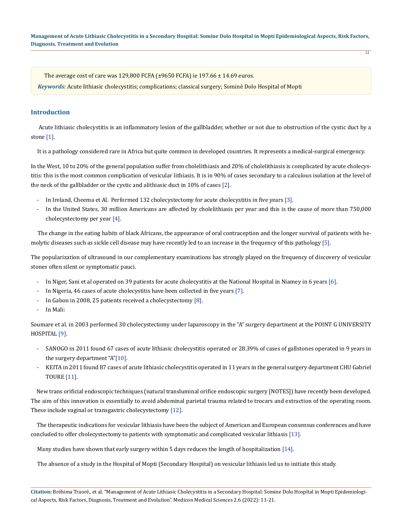$\overline{12}$ 

The average cost of care was 129,800 FCFA  $(\pm 9650 \text{ FCFA})$  ie 197.66  $\pm$  14.69 euros.

*Keywords:* Acute lithiasic cholecystitis; complications; classical surgery; Sominé Dolo Hospital of Mopti

# **Introduction**

 Acute lithiasic cholecystitis is an inflammatory lesion of the gallbladder, whether or not due to obstruction of the cystic duct by a stone [1].

It is a pathology considered rare in Africa but quite common in developed countries. It represents a medical-surgical emergency.

In the West, 10 to 20% of the general population suffer from cholelithiasis and 20% of cholelithiasis is complicated by acute cholecystitis: this is the most common complication of vesicular lithiasis. It is in 90% of cases secondary to a calculous isolation at the level of the neck of the gallbladder or the cystic and alithiasic duct in 10% of cases [2].

- In Ireland, Cheema et Al. Performed 132 cholecystectomy for acute cholecystitis in five years [3].
- In the United States, 30 million Americans are affected by cholelithiasis per year and this is the cause of more than 750,000 cholecystectomy per year [4].

 The change in the eating habits of black Africans, the appearance of oral contraception and the longer survival of patients with hemolytic diseases such as sickle cell disease may have recently led to an increase in the frequency of this pathology [5].

The popularization of ultrasound in our complementary examinations has strongly played on the frequency of discovery of vesicular stones often silent or symptomatic pauci.

- In Niger, Sani et al operated on 39 patients for acute cholecystitis at the National Hospital in Niamey in 6 years [6].
- In Nigeria, 46 cases of acute cholecystitis have been collected in five years [7].
- In Gabon in 2008, 25 patients received a cholecystectomy [8].
- In Mali:

Soumare et al. in 2003 performed 30 cholecystectomy under laparoscopy in the "A" surgery department at the POINT G UNIVERSITY HOSPITAL [9].

- SANOGO in 2011 found 67 cases of acute lithiasic cholecystitis operated or 28.39% of cases of gallstones operated in 9 years in the surgery department "A"[10].
- KEITA in 2011 found 87 cases of acute lithiasic cholecystitis operated in 11 years in the general surgery department CHU Gabriel TOURE [11].

 New trans orificial endoscopic techniques (natural transluminal orifice endoscopic surgery [NOTES]) have recently been developed. The aim of this innovation is essentially to avoid abdominal parietal trauma related to trocars and extraction of the operating room. These include vaginal or transgastric cholecystectomy [12].

 The therapeutic indications for vesicular lithiasis have been the subject of American and European consensus conferences and have concluded to offer cholecystectomy to patients with symptomatic and complicated vesicular lithiasis [13].

Many studies have shown that early surgery within 5 days reduces the length of hospitalization [14].

The absence of a study in the Hospital of Mopti (Secondary Hospital) on vesicular lithiasis led us to initiate this study.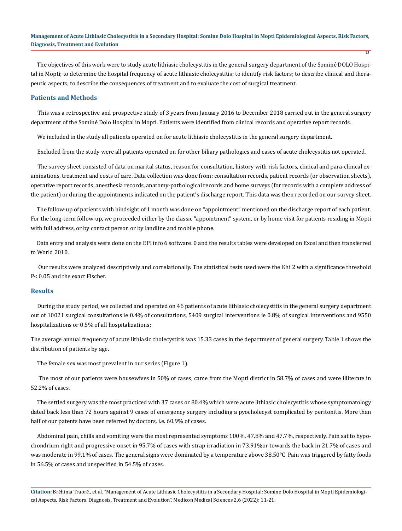The objectives of this work were to study acute lithiasic cholecystitis in the general surgery department of the Sominé DOLO Hospital in Mopti; to determine the hospital frequency of acute lithiasic cholecystitis; to identify risk factors; to describe clinical and therapeutic aspects; to describe the consequences of treatment and to evaluate the cost of surgical treatment.

# **Patients and Methods**

 This was a retrospective and prospective study of 3 years from January 2016 to December 2018 carried out in the general surgery department of the Sominé Dolo Hospital in Mopti. Patients were identified from clinical records and operative report records.

We included in the study all patients operated on for acute lithiasic cholecystitis in the general surgery department.

Excluded from the study were all patients operated on for other biliary pathologies and cases of acute cholecystitis not operated.

 The survey sheet consisted of data on marital status, reason for consultation, history with risk factors, clinical and para-clinical examinations, treatment and costs of care. Data collection was done from: consultation records, patient records (or observation sheets), operative report records, anesthesia records, anatomy-pathological records and home surveys (for records with a complete address of the patient) or during the appointments indicated on the patient's discharge report. This data was then recorded on our survey sheet.

 The follow-up of patients with hindsight of 1 month was done on "appointment" mentioned on the discharge report of each patient. For the long-term follow-up, we proceeded either by the classic "appointment" system, or by home visit for patients residing in Mopti with full address, or by contact person or by landline and mobile phone.

 Data entry and analysis were done on the EPI info 6 software. 0 and the results tables were developed on Excel and then transferred to World 2010.

 Our results were analyzed descriptively and correlationally. The statistical tests used were the Khi 2 with a significance threshold P< 0.05 and the exact Fischer.

# **Results**

 During the study period, we collected and operated on 46 patients of acute lithiasic cholecystitis in the general surgery department out of 10021 surgical consultations ie 0.4% of consultations, 5409 surgical interventions ie 0.8% of surgical interventions and 9550 hospitalizations or 0.5% of all hospitalizations;

The average annual frequency of acute lithiasic cholecystitis was 15.33 cases in the department of general surgery. Table 1 shows the distribution of patients by age.

The female sex was most prevalent in our series (Figure 1).

 The most of our patients were housewives in 50% of cases, came from the Mopti district in 58.7% of cases and were illiterate in 52.2% of cases.

 The settled surgery was the most practiced with 37 cases or 80.4% which were acute lithiasic cholecystitis whose symptomatology dated back less than 72 hours against 9 cases of emergency surgery including a pyocholecyst complicated by peritonitis. More than half of our patents have been referred by doctors, i.e. 60.9% of cases.

 Abdominal pain, chills and vomiting were the most represented symptoms 100%, 47.8% and 47.7%, respectively. Pain sat to hypochondrium right and progressive onset in 95.7% of cases with strap irradiation in 73.91%or towards the back in 21.7% of cases and was moderate in 99.1% of cases. The general signs were dominated by a temperature above 38.50°C. Pain was triggered by fatty foods in 56.5% of cases and unspecified in 54.5% of cases.

**Citation:** Bréhima Traoré., et al. "Management of Acute Lithiasic Cholecystitis in a Secondary Hospital: Somine Dolo Hospital in Mopti Epidemiological Aspects, Risk Factors, Diagnosis, Treatment and Evolution". Medicon Medical Sciences 2.6 (2022): 11-21.

 $\overline{13}$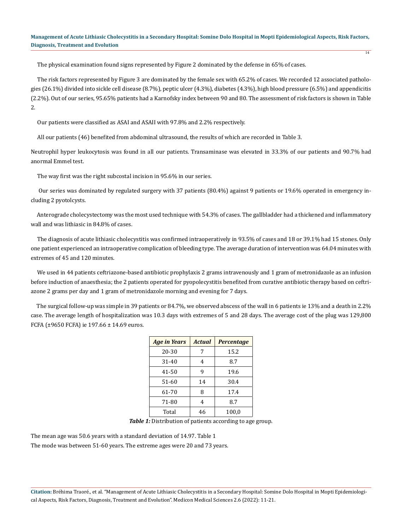$\overline{14}$ 

The physical examination found signs represented by Figure 2 dominated by the defense in 65% of cases.

 The risk factors represented by Figure 3 are dominated by the female sex with 65.2% of cases. We recorded 12 associated pathologies (26.1%) divided into sickle cell disease (8.7%), peptic ulcer (4.3%), diabetes (4.3%), high blood pressure (6.5%) and appendicitis (2.2%). Out of our series, 95.65% patients had a Karnofsky index between 90 and 80. The assessment of risk factors is shown in Table 2.

Our patients were classified as ASAI and ASAII with 97.8% and 2.2% respectively.

All our patients (46) benefited from abdominal ultrasound, the results of which are recorded in Table 3.

Neutrophil hyper leukocytosis was found in all our patients. Transaminase was elevated in 33.3% of our patients and 90.7% had anormal Emmel test.

The way first was the right subcostal incision in 95.6% in our series.

 Our series was dominated by regulated surgery with 37 patients (80.4%) against 9 patients or 19.6% operated in emergency including 2 pyotolcysts.

 Anterograde cholecystectomy was the most used technique with 54.3% of cases. The gallbladder had a thickened and inflammatory wall and was lithiasic in 84.8% of cases.

 The diagnosis of acute lithiasic cholecystitis was confirmed intraoperatively in 93.5% of cases and 18 or 39.1% had 15 stones. Only one patient experienced an intraoperative complication of bleeding type. The average duration of intervention was 64.04 minutes with extremes of 45 and 120 minutes.

 We used in 44 patients ceftriazone-based antibiotic prophylaxis 2 grams intravenously and 1 gram of metronidazole as an infusion before induction of anaesthesia; the 2 patients operated for pyopolecystitis benefited from curative antibiotic therapy based on ceftriazone 2 grams per day and 1 gram of metronidazole morning and evening for 7 days.

 The surgical follow-up was simple in 39 patients or 84.7%, we observed abscess of the wall in 6 patients ie 13% and a death in 2.2% case. The average length of hospitalization was 10.3 days with extremes of 5 and 28 days. The average cost of the plug was 129,800 FCFA (±9650 FCFA) ie 197.66 ± 14.69 euros.

| <b>Age in Years</b> | <b>Actual</b> | <b>Percentage</b> |
|---------------------|---------------|-------------------|
| 20-30               | 7             | 15.2              |
| 31-40               | 4             | 8.7               |
| $41 - 50$           | q             | 19.6              |
| 51-60               | 14            | 30.4              |
| 61-70               | 8             | 17.4              |
| 71-80               | 4             | 8.7               |
| Total               | 46            | 100,0             |

*Table 1:* Distribution of patients according to age group.

The mean age was 50.6 years with a standard deviation of 14.97. Table 1 The mode was between 51-60 years. The extreme ages were 20 and 73 years.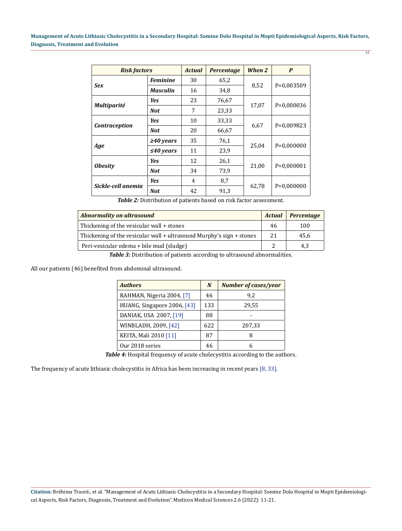| <b>Risk factors</b>  |                 | <b>Actual</b> | <b>Percentage</b> | When 2 | P            |
|----------------------|-----------------|---------------|-------------------|--------|--------------|
| <b>Sex</b>           | <b>Feminine</b> | 30            | 65,2              |        | $P=0.003509$ |
|                      | <b>Masculin</b> | 16            | 34,8              | 8,52   |              |
| <b>Multiparité</b>   | <b>Yes</b>      | 23            | 76,67             |        | P=0,000036   |
|                      | <b>Not</b>      | 7             | 23,33             | 17,07  |              |
| <b>Contraception</b> | <b>Yes</b>      | 10            | 33,33             |        | P=0,009823   |
|                      | <b>Not</b>      | 20            | 66,67             | 6,67   |              |
| Age                  | $\geq 40$ years | 35            | 76,1              |        | $P=0,000000$ |
|                      | $\leq 40$ years | 11            | 23,9              | 25,04  |              |
| <b>Obesity</b>       | <b>Yes</b>      | 12            | 26,1              |        | $P=0,000001$ |
|                      | <b>Not</b>      | 34            | 73,9              | 21,00  |              |
| Sickle-cell anemia   | <b>Yes</b>      | 4             | 8,7               |        | $P=0.000000$ |
|                      | <b>Not</b>      | 42            | 91.3              | 62,78  |              |

*Table 2:* Distribution of patients based on risk factor assessment.

| Abnormality on ultrasound                                            | <b>Actual</b> | <b>Percentage</b> |
|----------------------------------------------------------------------|---------------|-------------------|
| Thickening of the vesicular wall + stones                            | 46            | 100               |
| Thickening of the vesicular wall + ultrasound Murphy's sign + stones | 2.1           | 45,6              |
| Peri-vesicular edema + bile mud (sludge)                             |               | 4,3               |

**Table 3:** Distribution of patients according to ultrasound abnormalities.

All our patients (46) benefited from abdominal ultrasound.

| <b>Authors</b>              | N   | Number of cases/year |
|-----------------------------|-----|----------------------|
| RAHMAN, Nigeria 2004, [7]   | 46  | 9.2                  |
| HUANG, Singapore 2006, [43] | 133 | 29,55                |
| DANIAK, USA 2007, [19]      | 88  |                      |
| WINBLADH, 2009, [42]        | 622 | 207,33               |
| KEITA, Mali 2010 [11]       | 87  | 8                    |
| Our 2018 series             | 46  | h                    |

Table 4: Hospital frequency of acute cholecystitis according to the authors.

The frequency of acute lithiasic cholecystitis in Africa has been increasing in recent years [8, 33].

15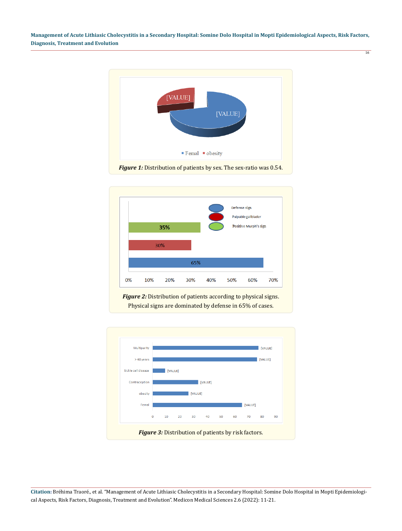16





*Figure 2:* Distribution of patients according to physical signs. Physical signs are dominated by defense in 65% of cases.

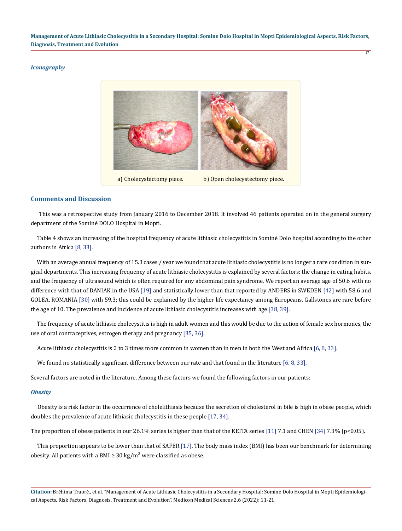# *Iconography*



# **Comments and Discussion**

 This was a retrospective study from January 2016 to December 2018. It involved 46 patients operated on in the general surgery department of the Sominé DOLO Hospital in Mopti.

 Table 4 shows an increasing of the hospital frequency of acute lithiasic cholecystitis in Sominé Dolo hospital according to the other authors in Africa [8, 33].

With an average annual frequency of 15.3 cases / year we found that acute lithiasic cholecystitis is no longer a rare condition in surgical departments. This increasing frequency of acute lithiasic cholecystitis is explained by several factors: the change in eating habits, and the frequency of ultrasound which is often required for any abdominal pain syndrome. We report an average age of 50.6 with no difference with that of DANIAK in the USA [19] and statistically lower than that reported by ANDERS in SWEDEN [42] with 58.6 and GOLEA, ROMANIA [30] with 59.3; this could be explained by the higher life expectancy among Europeans. Gallstones are rare before the age of 10. The prevalence and incidence of acute lithiasic cholecystitis increases with age [38, 39].

 The frequency of acute lithiasic cholecystitis is high in adult women and this would be due to the action of female sex hormones, the use of oral contraceptives, estrogen therapy and pregnancy [35, 36].

Acute lithiasic cholecystitis is 2 to 3 times more common in women than in men in both the West and Africa [6, 8, 33].

We found no statistically significant difference between our rate and that found in the literature [6, 8, 33].

Several factors are noted in the literature. Among these factors we found the following factors in our patients:

#### *Obesity*

 Obesity is a risk factor in the occurrence of cholelithiasis because the secretion of cholesterol in bile is high in obese people, which doubles the prevalence of acute lithiasic cholecystitis in these people [17, 34].

The proportion of obese patients in our 26.1% series is higher than that of the KEITA series [11] 7.1 and CHEN [34] 7.3% (p<0.05).

 This proportion appears to be lower than that of SAFER [17]. The body mass index (BMI) has been our benchmark for determining obesity. All patients with a BMI  $\geq$  30 kg/m<sup>2</sup> were classified as obese.

**Citation:** Bréhima Traoré., et al. "Management of Acute Lithiasic Cholecystitis in a Secondary Hospital: Somine Dolo Hospital in Mopti Epidemiological Aspects, Risk Factors, Diagnosis, Treatment and Evolution". Medicon Medical Sciences 2.6 (2022): 11-21.

17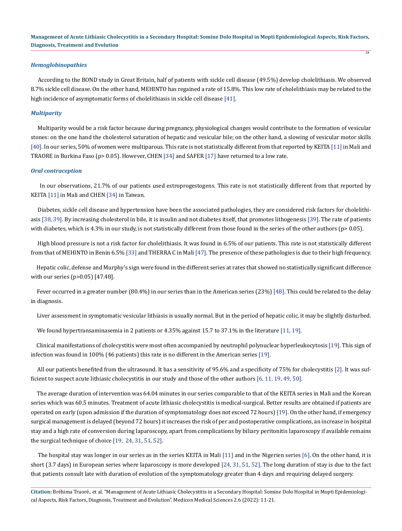18

# *Hemoglobinopathies*

 According to the BOND study in Great Britain, half of patients with sickle cell disease (49.5%) develop cholelithiasis. We observed 8.7% sickle cell disease. On the other hand, MEHINTO has regained a rate of 15.8%. This low rate of cholelithiasis may be related to the high incidence of asymptomatic forms of cholelithiasis in sickle cell disease [41].

#### *Multiparity*

 Multiparity would be a risk factor because during pregnancy, physiological changes would contribute to the formation of vesicular stones: on the one hand the cholesterol saturation of hepatic and vesicular bile; on the other hand, a slowing of vesicular motor skills [40]. In our series, 50% of women were multiparous. This rate is not statistically different from that reported by KEITA [11] in Mali and TRAORE in Burkina Faso (p> 0.05). However, CHEN [34] and SAFER [17] have returned to a low rate.

#### *Oral contraception*

 In our observations, 21.7% of our patients used estroprogestogens. This rate is not statistically different from that reported by KEITA [11] in Mali and CHEN [34] in Taiwan.

 Diabetes, sickle cell disease and hypertension have been the associated pathologies, they are considered risk factors for cholelithiasis [38, 39]. By increasing cholesterol in bile, it is insulin and not diabetes itself, that promotes lithogenesis [39]. The rate of patients with diabetes, which is 4.3% in our study, is not statistically different from those found in the series of the other authors (p> 0.05).

 High blood pressure is not a risk factor for cholelithiasis. It was found in 6.5% of our patients. This rate is not statistically different from that of MEHINTO in Benin 6.5% [33] and THERRA C in Mali [47]. The presence of these pathologies is due to their high frequency.

 Hepatic colic, defense and Murphy's sign were found in the different series at rates that showed no statistically significant difference with our series (p>0.05) [47.48].

Fever occurred in a greater number (80.4%) in our series than in the American series (23%) [48]. This could be related to the delay in diagnosis.

Liver assessment in symptomatic vesicular lithiasis is usually normal. But in the period of hepatic colic, it may be slightly disturbed.

We found hypertransaminasemia in 2 patients or 4.35% against 15.7 to 37.1% in the literature [11, 19].

 Clinical manifestations of cholecystitis were most often accompanied by neutrophil polynuclear hyperleukocytosis [19]. This sign of infection was found in 100% (46 patients) this rate is no different in the American series [19].

 All our patients benefited from the ultrasound. It has a sensitivity of 95.6% and a specificity of 75% for cholecystitis [2]. It was sufficient to suspect acute lithiasic cholecystitis in our study and those of the other authors [6, 11, 19, 49, 50].

 The average duration of intervention was 64.04 minutes in our series comparable to that of the KEITA series in Mali and the Korean series which was 60.5 minutes. Treatment of acute lithiasic cholecystitis is medical-surgical. Better results are obtained if patients are operated on early (upon admission if the duration of symptomatology does not exceed 72 hours) [19]. On the other hand, if emergency surgical management is delayed (beyond 72 hours) it increases the risk of per and postoperative complications, an increase in hospital stay and a high rate of conversion during laparoscopy, apart from complications by biliary peritonitis laparoscopy if available remains the surgical technique of choice [19, 24, 31, 51, 52].

 The hospital stay was longer in our series as in the series KEITA in Mali [11] and in the Nigerien series [6]. On the other hand, it is short (3.7 days) in European series where laparoscopy is more developed [24, 31, 51, 52]. The long duration of stay is due to the fact that patients consult late with duration of evolution of the symptomatology greater than 4 days and requiring delayed surgery.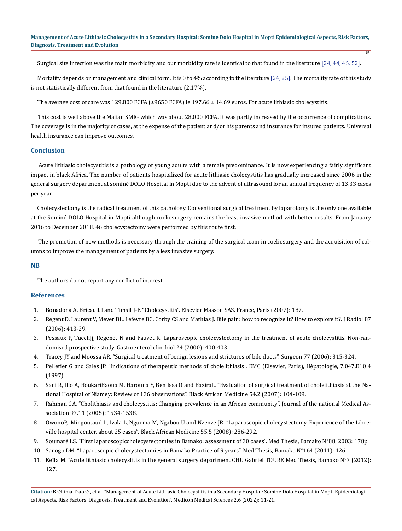$\overline{19}$ 

Surgical site infection was the main morbidity and our morbidity rate is identical to that found in the literature [24, 44, 46, 52].

 Mortality depends on management and clinical form. It is 0 to 4% according to the literature [24, 25]. The mortality rate of this study is not statistically different from that found in the literature (2.17%).

The average cost of care was 129,800 FCFA (±9650 FCFA) ie 197.66 ± 14.69 euros. For acute lithiasic cholecystitis.

 This cost is well above the Malian SMIG which was about 28,000 FCFA. It was partly increased by the occurrence of complications. The coverage is in the majority of cases, at the expense of the patient and/or his parents and insurance for insured patients. Universal health insurance can improve outcomes.

# **Conclusion**

 Acute lithiasic cholecystitis is a pathology of young adults with a female predominance. It is now experiencing a fairly significant impact in black Africa. The number of patients hospitalized for acute lithiasic cholecystitis has gradually increased since 2006 in the general surgery department at sominé DOLO Hospital in Mopti due to the advent of ultrasound for an annual frequency of 13.33 cases per year.

 Cholecystectomy is the radical treatment of this pathology. Conventional surgical treatment by laparotomy is the only one available at the Sominé DOLO Hospital in Mopti although coeliosurgery remains the least invasive method with better results. From January 2016 to December 2018, 46 cholecystectomy were performed by this route first.

 The promotion of new methods is necessary through the training of the surgical team in coeliosurgery and the acquisition of columns to improve the management of patients by a less invasive surgery.

# **NB**

The authors do not report any conflict of interest.

# **References**

- 1. Bonadona A, Bricault I and Timsit J-F. "Cholecystitis". Elsevier Masson SAS. France, Paris (2007): 187.
- 2. Regent D, Laurent V, Meyer BL, Lefevre BC, Corby CS and Mathias J. Bile pain: how to recognize it? How to explore it?. J Radiol 87 (2006): 413-29.
- 3. Pessaux P, TuechJj, Regenet N and Fauvet R. Laparoscopic cholecystectomy in the treatment of acute cholecystitis. Non-randomised prospective study. Gastroenterol.clin. biol 24 (2000): 400-403.
- 4. [Tracey JY and Moossa AR. "Surgical treatment of benign lesions and strictures of bile ducts". Surgeon 77 \(2006\): 315-324.](https://pubmed.ncbi.nlm.nih.gov/16557406/)
- 5. Pelletier G and Sales JP. "Indications of therapeutic methods of cholelithiasis". EMC (Elsevier, Paris), Hépatologie, 7.047.E10 4 (1997).
- 6. Sani R, Illo A, BoukariBaoua M, Harouna Y, Ben Issa O and BaziraL. "Evaluation of surgical treatment of cholelithiasis at the National Hospital of Niamey: Review of 136 observations". Black African Medicine 54.2 (2007): 104-109.
- 7. [Rahman GA. "Cholithiasis and cholecystitis: Changing prevalence in an African community". Journal of the national Medical As](https://pubmed.ncbi.nlm.nih.gov/16334500/)[sociation 97.11 \(2005\): 1534-1538.](https://pubmed.ncbi.nlm.nih.gov/16334500/)
- 8. OwonoP, Mingoutaud L, Ivala L, Nguema M, Ngabou U and Nzenze JR. "Laparoscopic cholecystectomy. Experience of the Libreville hospital center, about 25 cases". Black African Medicine 55.5 (2008): 286-292.
- 9. Soumaré LS. "First laparoscopiccholecystectomies in Bamako: assessment of 30 cases". Med Thesis, Bamako N°88, 2003: 178p
- 10. Sanogo DM. "Laparoscopic cholecystectomies in Bamako Practice of 9 years". Med Thesis, Bamako N°164 (2011): 126.
- 11. Keïta M. "Acute lithiasic cholecystitis in the general surgery department CHU Gabriel TOURE Med Thesis, Bamako N°7 (2012): 127.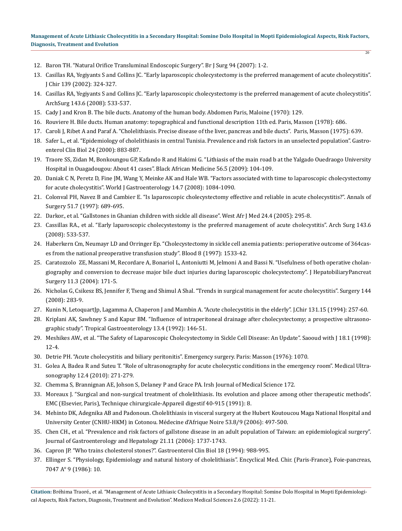$\overline{20}$ 

- 12. [Baron TH. "Natural Orifice Transluminal Endoscopic Surgery". Br J Surg 94 \(2007\): 1-2.](https://pubmed.ncbi.nlm.nih.gov/17205508/)
- 13. Casillas RA, Yegiyants S and Collins JC. "Early laparoscopic cholecystectomy is the preferred management of acute cholecystitis". J Chir 139 (2002): 324-327.
- 14. [Casillas RA, Yegiyants S and Collins JC. "Early laparoscopic cholecystectomy is the preferred management of acute cholecystitis".](https://pubmed.ncbi.nlm.nih.gov/18559744) [ArchSurg 143.6 \(2008\): 533-537.](https://pubmed.ncbi.nlm.nih.gov/18559744)
- 15. Cady J and Kron B. The bile ducts. Anatomy of the human body. Abdomen Paris, Maloine (1970): 129.
- 16. Rouviere H. Bile ducts. Human anatomy: topographical and functional description 11th ed. Paris, Masson (1978): 686.
- 17. Caroli J, Ribet A and Paraf A. "Cholelithiasis. Precise disease of the liver, pancreas and bile ducts". Paris, Masson (1975): 639.
- 18. [Safer L., et al. "Epidemiology of cholelithiasis in central Tunisia. Prevalence and risk factors in an unselected population". Gastro](https://pubmed.ncbi.nlm.nih.gov/11084423/)[enterol Clin Biol 24 \(2000\): 883-887.](https://pubmed.ncbi.nlm.nih.gov/11084423/)
- 19. Traore SS, Zidan M, Bonkoungou GP, Kafando R and Hakimi G. "Lithiasis of the main road b at the Yalgado Ouedraogo University Hospital in Ouagadougou: About 41 cases". Black African Medicine 56.5 (2009): 104-109.
- 20. [Daniak C N, Peretz D, Fine JM, Wang Y, Meinke AK and Hale WB. "Factors associated with time to laparoscopic cholecystectomy](https://pubmed.ncbi.nlm.nih.gov/18286691/) [for acute cholecystitis". World J Gastroenterology 14.7 \(2008\): 1084-1090.](https://pubmed.ncbi.nlm.nih.gov/18286691/)
- 21. Colonval PH, Navez B and Cambier E. "Is laparoscopic cholecystectomy effective and reliable in acute [cholecystitis?". Annals of](https://pubmed.ncbi.nlm.nih.gov/16483043/) [Surgery 51.7 \(1997\): 689-695.](https://pubmed.ncbi.nlm.nih.gov/16483043/)
- 22. [Darkor., et al. "Gallstones in Ghanian children with sickle all disease". West Afr J Med 24.4 \(2005\): 295-8.](https://pubmed.ncbi.nlm.nih.gov/16483043/)
- 23. [Cassillas RA., et al. "Early laparoscopic cholecystestomy is the preferred management of acute cholecystitis". Arch Surg 143.6](https://pubmed.ncbi.nlm.nih.gov/18559744) [\(2008\): 533-537.](https://pubmed.ncbi.nlm.nih.gov/18559744)
- 24. [Haberkern Cm, Neumayr LD and Orringer Ep. "Cholecystectomy in sickle cell anemia patients: perioperative outcome of 364cas](https://pubmed.ncbi.nlm.nih.gov/9057634/)[es from the national preoperative transfusion study". Blood 8 \(1997\): 1533-42.](https://pubmed.ncbi.nlm.nih.gov/9057634/)
- 25. [Caratozzolo ZE, Massani M, Recordare A, Bonariol L, Antoniutti M, Jelmoni A and Bassi N. "Usefulness of both operative cholan](https://pubmed.ncbi.nlm.nih.gov/15235889/)[giography and conversion to decrease major bile duct injuries during laparoscopic cholecystectomy". J HepatobiliaryPancreat](https://pubmed.ncbi.nlm.nih.gov/15235889/) [Surgery 11.3 \(2004\): 171-5.](https://pubmed.ncbi.nlm.nih.gov/15235889/)
- 26. Nicholas G, Csikesz BS, Jennifer F, Tseng and Shimul A Shal. "Trends in surgical management for acute cholecystitis". Surgery 144 (2008): 283-9.
- 27. Kunin N, LetoquartJp, Lagamma A, Chaperon J and Mambin A. "Acute cholecystitis in the elderly". J.Chir 131.15 (1994): 257-60.
- 28. [Kriplani AK, Sawhney S and Kapur BM. "Influence of intraperitoneal drainage after cholecystectomy; a prospective ultrasono](https://pubmed.ncbi.nlm.nih.gov/1302384/)[graphic study". Tropical Gastroenterology 13.4 \(1992\): 146-51.](https://pubmed.ncbi.nlm.nih.gov/1302384/)
- 29. [Meshikes AW., et al. "The Safety of Laparoscopic Cholecystectomy in Sickle Cell Disease: An Update". Saooud with J 18.1 \(1998\):](https://pubmed.ncbi.nlm.nih.gov/17341907/) [12-4.](https://pubmed.ncbi.nlm.nih.gov/17341907/)
- 30. Detrie PH. "Acute cholecystitis and biliary peritonitis". Emergency surgery. Paris: Masson (1976): 1070.
- 31. [Golea A, Badea R and Suteu T. "Role of ultrasonography for acute cholecystic conditions in the emergency room". Medical Ultra](https://pubmed.ncbi.nlm.nih.gov/21210011/)[sonography 12.4 \(2010\): 271-279.](https://pubmed.ncbi.nlm.nih.gov/21210011/)
- 32. Chemma S, Brannignan AE, Johson S, Delaney P and Grace PA. Irsh Journal of Medical Science 172.
- 33. Moreaux J. "Surgical and non-surgical treatment of cholelithiasis. Its evolution and placee among other therapeutic methods". EMC (Elsevier, Paris), Technique chirurgicale-Appareil digestif 40-915 (1991): 8.
- 34. Mehinto DK, Adegnika AB and Padonoun. Cholelithiasis in visceral surgery at the Hubert Koutoucou Maga National Hospital and University Center (CNHU-HKM) in Cotonou. Médecine d'Afrique Noire 53.8/9 (2006): 497-500.
- 35. [Chen CH., et al. "Prevalence and risk factors of gallstone disease in an adult population of Taiwan: an epidemiological surgery".](https://pubmed.ncbi.nlm.nih.gov/16984599/) [Journal of Gastroenterology and Hepatology 21.11 \(2006\): 1737-1743.](https://pubmed.ncbi.nlm.nih.gov/16984599/)
- 36. Capron JP. "Who trains cholesterol stones?". Gastroenterol Clin Biol 18 (1994): 988-995.
- 37. Ellinger S. "Physiology, Epidemiology and natural history of cholelithiasis". Encyclical Med. Chir. (Paris-France), Foie-pancreas, 7047 A° 9 (1986): 10.